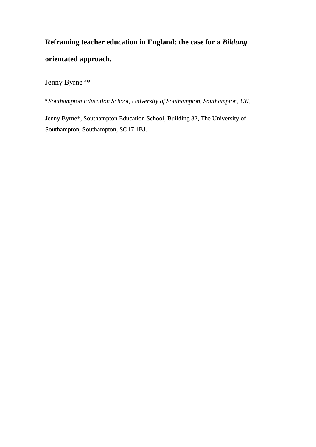# **Reframing teacher education in England: the case for a** *Bildung*  **orientated approach.**

Jenny Byrne<sup>a\*</sup>

*<sup>a</sup> Southampton Education School, University of Southampton, Southampton, UK,* 

Jenny Byrne\*, Southampton Education School, Building 32, The University of Southampton, Southampton, SO17 1BJ.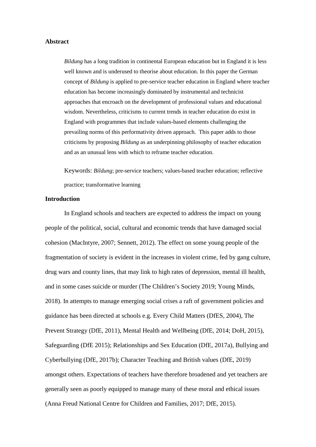## **Abstract**

*Bildung* has a long tradition in continental European education but in England it is less well known and is underused to theorise about education. In this paper the German concept of *Bildung* is applied to pre-service teacher education in England where teacher education has become increasingly dominated by instrumental and technicist approaches that encroach on the development of professional values and educational wisdom. Nevertheless, criticisms to current trends in teacher education do exist in England with programmes that include values-based elements challenging the prevailing norms of this performativity driven approach. This paper adds to those criticisms by proposing *Bildung* as an underpinning philosophy of teacher education and as an unusual lens with which to reframe teacher education.

Keywords: *Bildung*; pre-service teachers; values-based teacher education; reflective practice; transformative learning

## **Introduction**

In England schools and teachers are expected to address the impact on young people of the political, social, cultural and economic trends that have damaged social cohesion (MacIntyre, 2007; Sennett, 2012). The effect on some young people of the fragmentation of society is evident in the increases in violent crime, fed by gang culture, drug wars and county lines, that may link to high rates of depression, mental ill health, and in some cases suicide or murder (The Children's Society 2019; Young Minds, 2018). In attempts to manage emerging social crises a raft of government policies and guidance has been directed at schools e.g. Every Child Matters (DfES, 2004), The Prevent Strategy (DfE, 2011), Mental Health and Wellbeing (DfE, 2014; DoH, 2015), Safeguarding (DfE 2015); Relationships and Sex Education (DfE, 2017a), Bullying and Cyberbullying (DfE, 2017b); Character Teaching and British values (DfE, 2019) amongst others. Expectations of teachers have therefore broadened and yet teachers are generally seen as poorly equipped to manage many of these moral and ethical issues (Anna Freud National Centre for Children and Families, 2017; DfE, 2015).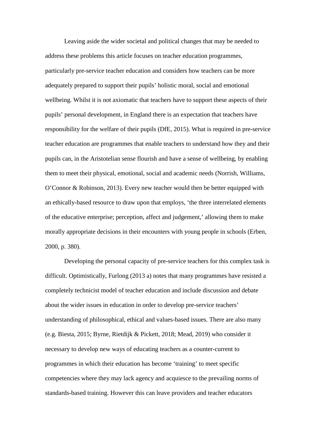Leaving aside the wider societal and political changes that may be needed to address these problems this article focuses on teacher education programmes, particularly pre-service teacher education and considers how teachers can be more adequately prepared to support their pupils' holistic moral, social and emotional wellbeing. Whilst it is not axiomatic that teachers have to support these aspects of their pupils' personal development, in England there is an expectation that teachers have responsibility for the welfare of their pupils (DfE, 2015). What is required in pre-service teacher education are programmes that enable teachers to understand how they and their pupils can, in the Aristotelian sense flourish and have a sense of wellbeing, by enabling them to meet their physical, emotional, social and academic needs (Norrish, Williams, O'Connor & Robinson, 2013). Every new teacher would then be better equipped with an ethically-based resource to draw upon that employs, 'the three interrelated elements of the educative enterprise; perception, affect and judgement,' allowing them to make morally appropriate decisions in their encounters with young people in schools (Erben, 2000, p. 380).

Developing the personal capacity of pre-service teachers for this complex task is difficult. Optimistically, Furlong (2013 a) notes that many programmes have resisted a completely technicist model of teacher education and include discussion and debate about the wider issues in education in order to develop pre-service teachers' understanding of philosophical, ethical and values-based issues. There are also many (e.g. Biesta, 2015; Byrne, Rietdijk & Pickett, 2018; Mead, 2019) who consider it necessary to develop new ways of educating teachers as a counter-current to programmes in which their education has become 'training' to meet specific competencies where they may lack agency and acquiesce to the prevailing norms of standards-based training. However this can leave providers and teacher educators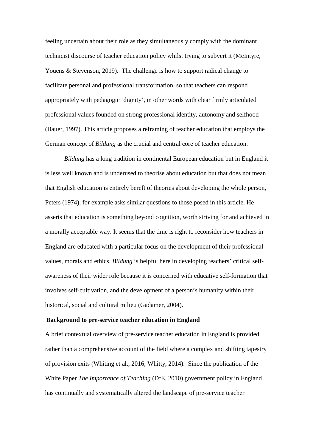feeling uncertain about their role as they simultaneously comply with the dominant technicist discourse of teacher education policy whilst trying to subvert it (McIntyre, Youens & Stevenson, 2019). The challenge is how to support radical change to facilitate personal and professional transformation, so that teachers can respond appropriately with pedagogic 'dignity', in other words with clear firmly articulated professional values founded on strong professional identity, autonomy and selfhood (Bauer, 1997). This article proposes a reframing of teacher education that employs the German concept of *Bildung* as the crucial and central core of teacher education.

*Bildung* has a long tradition in continental European education but in England it is less well known and is underused to theorise about education but that does not mean that English education is entirely bereft of theories about developing the whole person, Peters (1974), for example asks similar questions to those posed in this article. He asserts that education is something beyond cognition, worth striving for and achieved in a morally acceptable way. It seems that the time is right to reconsider how teachers in England are educated with a particular focus on the development of their professional values, morals and ethics. *Bildung* is helpful here in developing teachers' critical selfawareness of their wider role because it is concerned with educative self-formation that involves self-cultivation, and the development of a person's humanity within their historical, social and cultural milieu (Gadamer, 2004).

#### **Background to pre-service teacher education in England**

A brief contextual overview of pre-service teacher education in England is provided rather than a comprehensive account of the field where a complex and shifting tapestry of provision exits (Whiting et al., 2016; Whitty, 2014). Since the publication of the White Paper *The Importance of Teaching* (DfE, 2010) government policy in England has continually and systematically altered the landscape of pre-service teacher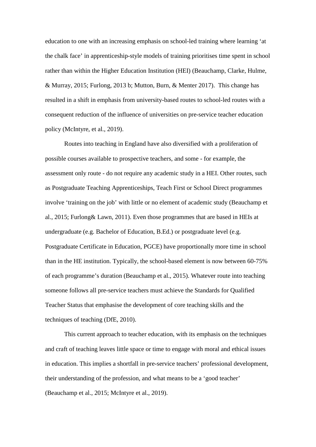education to one with an increasing emphasis on school-led training where learning 'at the chalk face' in apprenticeship-style models of training prioritises time spent in school rather than within the Higher Education Institution (HEI) (Beauchamp, Clarke, Hulme, & Murray, 2015; Furlong, 2013 b; Mutton, Burn, & Menter 2017). This change has resulted in a shift in emphasis from university-based routes to school-led routes with a consequent reduction of the influence of universities on pre-service teacher education policy (McIntyre, et al., 2019).

Routes into teaching in England have also diversified with a proliferation of possible courses available to prospective teachers, and some - for example, the assessment only route - do not require any academic study in a HEI. Other routes, such as Postgraduate Teaching Apprenticeships, Teach First or School Direct programmes involve 'training on the job' with little or no element of academic study (Beauchamp et al., 2015; Furlong& Lawn, 2011). Even those programmes that are based in HEIs at undergraduate (e.g. Bachelor of Education, B.Ed.) or postgraduate level (e.g. Postgraduate Certificate in Education, PGCE) have proportionally more time in school than in the HE institution. Typically, the school-based element is now between 60-75% of each programme's duration (Beauchamp et al., 2015). Whatever route into teaching someone follows all pre-service teachers must achieve the Standards for Qualified Teacher Status that emphasise the development of core teaching skills and the techniques of teaching (DfE, 2010).

This current approach to teacher education, with its emphasis on the techniques and craft of teaching leaves little space or time to engage with moral and ethical issues in education. This implies a shortfall in pre-service teachers' professional development, their understanding of the profession, and what means to be a 'good teacher' (Beauchamp et al., 2015; McIntyre et al., 2019).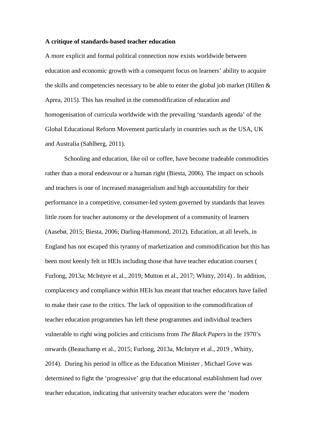## **A critique of standards-based teacher education**

A more explicit and formal political connection now exists worldwide between education and economic growth with a consequent focus on learners' ability to acquire the skills and competencies necessary to be able to enter the global job market (Hillen & Aprea, 2015). This has resulted in the commodification of education and homogenisation of curricula worldwide with the prevailing 'standards agenda' of the Global Educational Reform Movement particularly in countries such as the USA, UK and Australia (Sahlberg, 2011).

Schooling and education, like oil or coffee, have become tradeable commodities rather than a moral endeavour or a human right (Biesta, 2006). The impact on schools and teachers is one of increased managerialism and high accountability for their performance in a competitive, consumer-led system governed by standards that leaves little room for teacher autonomy or the development of a community of learners (Aasebø, 2015; Biesta, 2006; Darling-Hammond, 2012). Education, at all levels, in England has not escaped this tyranny of marketization and commodification but this has been most keenly felt in HEIs including those that have teacher education courses ( Furlong, 2013a; McIntyre et al., 2019; Mutton et al., 2017; Whitty, 2014) . In addition, complacency and compliance within HEIs has meant that teacher educators have failed to make their case to the critics. The lack of opposition to the commodification of teacher education programmes has left these programmes and individual teachers vulnerable to right wing policies and criticisms from *The Black Papers* in the 1970's onwards (Beauchamp et al., 2015; Furlong, 2013a, McIntyre et al., 2019 , Whitty, 2014). During his period in office as the Education Minister , Michael Gove was determined to fight the 'progressive' grip that the educational establishment had over teacher education, indicating that university teacher educators were the 'modern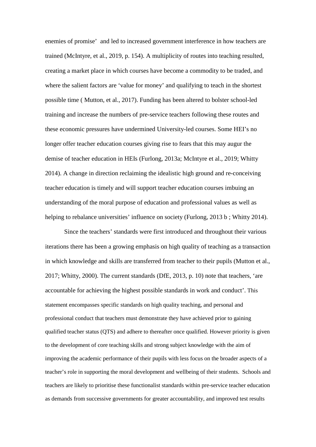enemies of promise' and led to increased government interference in how teachers are trained (McIntyre, et al., 2019, p. 154). A multiplicity of routes into teaching resulted, creating a market place in which courses have become a commodity to be traded, and where the salient factors are 'value for money' and qualifying to teach in the shortest possible time ( Mutton, et al., 2017). Funding has been altered to bolster school-led training and increase the numbers of pre-service teachers following these routes and these economic pressures have undermined University-led courses. Some HEI's no longer offer teacher education courses giving rise to fears that this may augur the demise of teacher education in HEIs (Furlong, 2013a; McIntyre et al., 2019; Whitty 2014). A change in direction reclaiming the idealistic high ground and re-conceiving teacher education is timely and will support teacher education courses imbuing an understanding of the moral purpose of education and professional values as well as helping to rebalance universities' influence on society (Furlong, 2013 b; Whitty 2014).

Since the teachers' standards were first introduced and throughout their various iterations there has been a growing emphasis on high quality of teaching as a transaction in which knowledge and skills are transferred from teacher to their pupils (Mutton et al., 2017; Whitty, 2000). The current standards (DfE, 2013, p. 10) note that teachers, 'are accountable for achieving the highest possible standards in work and conduct'. This statement encompasses specific standards on high quality teaching, and personal and professional conduct that teachers must demonstrate they have achieved prior to gaining qualified teacher status (QTS) and adhere to thereafter once qualified. However priority is given to the development of core teaching skills and strong subject knowledge with the aim of improving the academic performance of their pupils with less focus on the broader aspects of a teacher's role in supporting the moral development and wellbeing of their students. Schools and teachers are likely to prioritise these functionalist standards within pre-service teacher education as demands from successive governments for greater accountability, and improved test results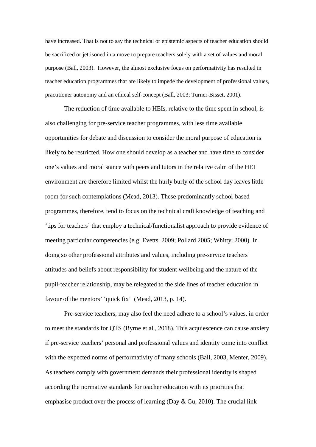have increased. That is not to say the technical or epistemic aspects of teacher education should be sacrificed or jettisoned in a move to prepare teachers solely with a set of values and moral purpose (Ball, 2003). However, the almost exclusive focus on performativity has resulted in teacher education programmes that are likely to impede the development of professional values, practitioner autonomy and an ethical self-concept (Ball, 2003; Turner-Bisset, 2001).

The reduction of time available to HEIs, relative to the time spent in school, is also challenging for pre-service teacher programmes, with less time available opportunities for debate and discussion to consider the moral purpose of education is likely to be restricted. How one should develop as a teacher and have time to consider one's values and moral stance with peers and tutors in the relative calm of the HEI environment are therefore limited whilst the hurly burly of the school day leaves little room for such contemplations (Mead, 2013). These predominantly school-based programmes, therefore, tend to focus on the technical craft knowledge of teaching and 'tips for teachers' that employ a technical/functionalist approach to provide evidence of meeting particular competencies (e.g. Evetts, 2009; Pollard 2005; Whitty, 2000). In doing so other professional attributes and values, including pre-service teachers' attitudes and beliefs about responsibility for student wellbeing and the nature of the pupil-teacher relationship, may be relegated to the side lines of teacher education in favour of the mentors' 'quick fix' (Mead, 2013, p. 14).

Pre-service teachers, may also feel the need adhere to a school's values, in order to meet the standards for QTS (Byrne et al., 2018). This acquiescence can cause anxiety if pre-service teachers' personal and professional values and identity come into conflict with the expected norms of performativity of many schools (Ball, 2003, Menter, 2009). As teachers comply with government demands their professional identity is shaped according the normative standards for teacher education with its priorities that emphasise product over the process of learning (Day & Gu, 2010). The crucial link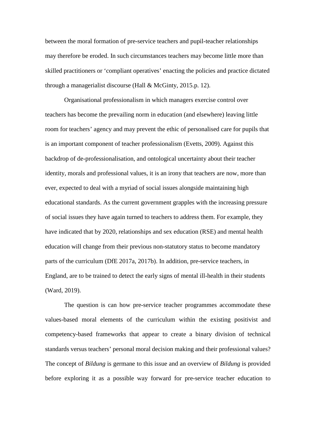between the moral formation of pre-service teachers and pupil-teacher relationships may therefore be eroded. In such circumstances teachers may become little more than skilled practitioners or 'compliant operatives' enacting the policies and practice dictated through a managerialist discourse (Hall & McGinty, 2015.p. 12).

Organisational professionalism in which managers exercise control over teachers has become the prevailing norm in education (and elsewhere) leaving little room for teachers' agency and may prevent the ethic of personalised care for pupils that is an important component of teacher professionalism (Evetts, 2009). Against this backdrop of de-professionalisation, and ontological uncertainty about their teacher identity, morals and professional values, it is an irony that teachers are now, more than ever, expected to deal with a myriad of social issues alongside maintaining high educational standards. As the current government grapples with the increasing pressure of social issues they have again turned to teachers to address them. For example, they have indicated that by 2020, relationships and sex education (RSE) and mental health education will change from their previous non-statutory status to become mandatory parts of the curriculum (DfE 2017a, 2017b). In addition, pre-service teachers, in England, are to be trained to detect the early signs of mental ill-health in their students (Ward, 2019).

The question is can how pre-service teacher programmes accommodate these values-based moral elements of the curriculum within the existing positivist and competency-based frameworks that appear to create a binary division of technical standards versus teachers' personal moral decision making and their professional values? The concept of *Bildung* is germane to this issue and an overview of *Bildung* is provided before exploring it as a possible way forward for pre-service teacher education to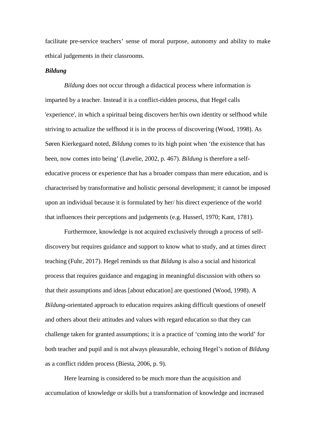facilitate pre-service teachers' sense of moral purpose, autonomy and ability to make ethical judgements in their classrooms.

## *Bildung*

*Bildung* does not occur through a didactical process where information is imparted by a teacher. Instead it is a conflict-ridden process, that Hegel calls 'experience', in which a spiritual being discovers her/his own identity or selfhood while striving to actualize the selfhood it is in the process of discovering (Wood, 1998). As Søren Kierkegaard noted, *Bildung* comes to its high point when 'the existence that has been, now comes into being' (Løvelie, 2002, p. 467). *Bildung* is therefore a selfeducative process or experience that has a broader compass than mere education, and is characterised by transformative and holistic personal development; it cannot be imposed upon an individual because it is formulated by her/ his direct experience of the world that influences their perceptions and judgements (e.g. Husserl, 1970; Kant, 1781).

Furthermore, knowledge is not acquired exclusively through a process of selfdiscovery but requires guidance and support to know what to study, and at times direct teaching (Fuhr, 2017). Hegel reminds us that *Bildung* is also a social and historical process that requires guidance and engaging in meaningful discussion with others so that their assumptions and ideas [about education] are questioned (Wood, 1998). A *Bildung*-orientated approach to education requires asking difficult questions of oneself and others about their attitudes and values with regard education so that they can challenge taken for granted assumptions; it is a practice of 'coming into the world' for both teacher and pupil and is not always pleasurable, echoing Hegel's notion of *Bildung*  as a conflict ridden process (Biesta, 2006, p. 9).

Here learning is considered to be much more than the acquisition and accumulation of knowledge or skills but a transformation of knowledge and increased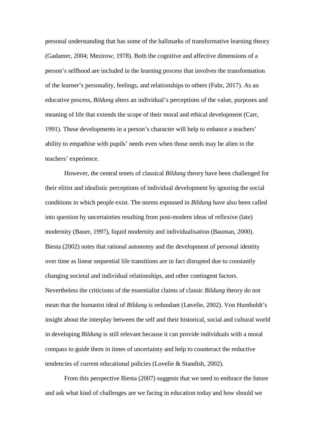personal understanding that has some of the hallmarks of transformative learning theory (Gadamer, 2004; Mezirow; 1978). Both the cognitive and affective dimensions of a person's selfhood are included in the learning process that involves the transformation of the learner's personality, feelings, and relationships to others (Fuhr, 2017). As an educative process, *Bildung* alters an individual's perceptions of the value, purposes and meaning of life that extends the scope of their moral and ethical development (Carr, 1991). These developments in a person's character will help to enhance a teachers' ability to empathise with pupils' needs even when those needs may be alien to the teachers' experience.

However, the central tenets of classical *Bildung* theory have been challenged for their elitist and idealistic perceptions of individual development by ignoring the social conditions in which people exist. The norms espoused in *Bildung* have also been called into question by uncertainties resulting from post-modern ideas of reflexive (late) modernity (Bauer, 1997), liquid modernity and individualisation (Bauman, 2000). Biesta (2002) notes that rational autonomy and the development of personal identity over time as linear sequential life transitions are in fact disrupted due to constantly changing societal and individual relationships, and other contingent factors. Nevertheless the criticisms of the essentialist claims of classic *Bildung* theory do not mean that the humanist ideal of *Bildung* is redundant (Løvelie, 2002). Von Humboldt's insight about the interplay between the self and their historical, social and cultural world in developing *Bildung* is still relevant because it can provide individuals with a moral compass to guide them in times of uncertainty and help to counteract the reductive tendencies of current educational policies (Lovelie & Standish, 2002).

From this perspective Biesta (2007) suggests that we need to embrace the future and ask what kind of challenges are we facing in education today and how should we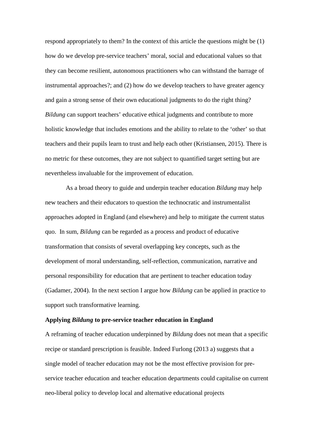respond appropriately to them? In the context of this article the questions might be (1) how do we develop pre-service teachers' moral, social and educational values so that they can become resilient, autonomous practitioners who can withstand the barrage of instrumental approaches?; and (2) how do we develop teachers to have greater agency and gain a strong sense of their own educational judgments to do the right thing? *Bildung* can support teachers' educative ethical judgments and contribute to more holistic knowledge that includes emotions and the ability to relate to the 'other' so that teachers and their pupils learn to trust and help each other (Kristiansen, 2015). There is no metric for these outcomes, they are not subject to quantified target setting but are nevertheless invaluable for the improvement of education.

As a broad theory to guide and underpin teacher education *Bildung* may help new teachers and their educators to question the technocratic and instrumentalist approaches adopted in England (and elsewhere) and help to mitigate the current status quo. In sum, *Bildung* can be regarded as a process and product of educative transformation that consists of several overlapping key concepts, such as the development of moral understanding, self-reflection, communication, narrative and personal responsibility for education that are pertinent to teacher education today (Gadamer, 2004). In the next section I argue how *Bildung* can be applied in practice to support such transformative learning.

## **Applying** *Bildung* **to pre-service teacher education in England**

A reframing of teacher education underpinned by *Bildung* does not mean that a specific recipe or standard prescription is feasible. Indeed Furlong (2013 a) suggests that a single model of teacher education may not be the most effective provision for preservice teacher education and teacher education departments could capitalise on current neo-liberal policy to develop local and alternative educational projects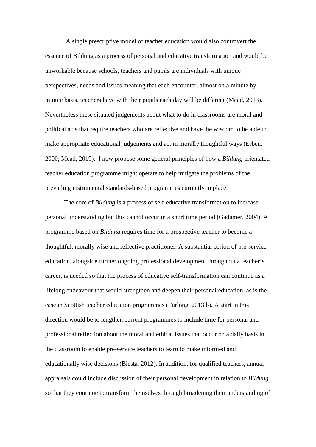A single prescriptive model of teacher education would also controvert the essence of Bildung as a process of personal and educative transformation and would be unworkable because schools, teachers and pupils are individuals with unique perspectives, needs and issues meaning that each encounter, almost on a minute by minute basis, teachers have with their pupils each day will be different (Mead, 2013). Nevertheless these situated judgements about what to do in classrooms are moral and political acts that require teachers who are reflective and have the wisdom to be able to make appropriate educational judgements and act in morally thoughtful ways (Erben, 2000; Mead, 2019). I now propose some general principles of how a *Bildung* orientated teacher education programme might operate to help mitigate the problems of the prevailing instrumental standards-based programmes currently in place.

The core of *Bildung* is a process of self-educative transformation to increase personal understanding but this cannot occur in a short time period (Gadamer, 2004). A programme based on *Bildung* requires time for a prospective teacher to become a thoughtful, morally wise and reflective practitioner. A substantial period of pre-service education, alongside further ongoing professional development throughout a teacher's career, is needed so that the process of educative self-transformation can continue as a lifelong endeavour that would strengthen and deepen their personal education, as is the case in Scottish teacher education programmes (Furlong, 2013 b). A start in this direction would be to lengthen current programmes to include time for personal and professional reflection about the moral and ethical issues that occur on a daily basis in the classroom to enable pre-service teachers to learn to make informed and educationally wise decisions (Biesta, 2012). In addition, for qualified teachers, annual appraisals could include discussion of their personal development in relation to *Bildung* so that they continue to transform themselves through broadening their understanding of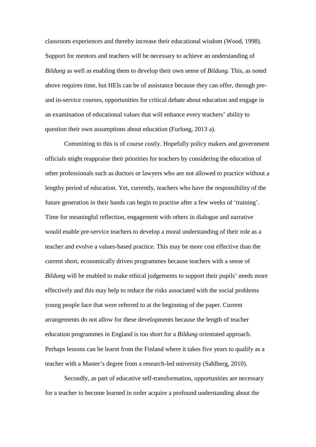classroom experiences and thereby increase their educational wisdom (Wood, 1998). Support for mentors and teachers will be necessary to achieve an understanding of *Bildung* as well as enabling them to develop their own sense of *Bildung.* This, as noted above requires time, but HEIs can be of assistance because they can offer, through preand in-service courses, opportunities for critical debate about education and engage in an examination of educational values that will enhance every teachers' ability to question their own assumptions about education (Furlong, 2013 a).

Committing to this is of course costly. Hopefully policy makers and government officials might reappraise their priorities for teachers by considering the education of other professionals such as doctors or lawyers who are not allowed to practice without a lengthy period of education. Yet, currently, teachers who have the responsibility of the future generation in their hands can begin to practise after a few weeks of 'training'. Time for meaningful reflection, engagement with others in dialogue and narrative would enable pre-service teachers to develop a moral understanding of their role as a teacher and evolve a values-based practice. This may be more cost effective than the current short, economically driven programmes because teachers with a sense of *Bildung* will be enabled to make ethical judgements to support their pupils' needs more effectively and this may help to reduce the risks associated with the social problems young people face that were referred to at the beginning of the paper. Current arrangements do not allow for these developments because the length of teacher education programmes in England is too short for a *Bildung* orientated approach. Perhaps lessons can be learnt from the Finland where it takes five years to qualify as a teacher with a Master's degree from a research-led university (Sahlberg, 2010).

Secondly, as part of educative self-transformation, opportunities are necessary for a teacher to become learned in order acquire a profound understanding about the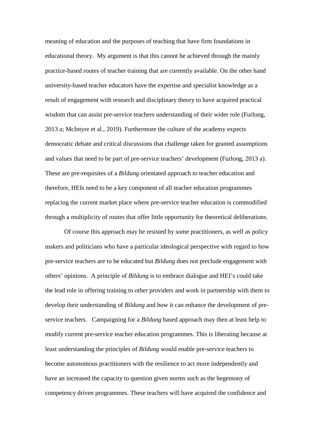meaning of education and the purposes of teaching that have firm foundations in educational theory. My argument is that this cannot be achieved through the mainly practice-based routes of teacher training that are currently available. On the other hand university-based teacher educators have the expertise and specialist knowledge as a result of engagement with research and disciplinary theory to have acquired practical wisdom that can assist pre-service teachers understanding of their wider role (Furlong, 2013 a; McIntyre et al., 2019). Furthermore the culture of the academy expects democratic debate and critical discussions that challenge taken for granted assumptions and values that need to be part of pre-service teachers' development (Furlong, 2013 a). These are pre-requisites of a *Bildung* orientated approach to teacher education and therefore, HEIs need to be a key component of all teacher education programmes replacing the current market place where pre-service teacher education is commodified through a multiplicity of routes that offer little opportunity for theoretical deliberations.

Of course this approach may be resisted by some practitioners, as well as policy makers and politicians who have a particular ideological perspective with regard to how pre-service teachers are to be educated but *Bildung* does not preclude engagement with others' opinions. A principle of *Bildung* is to embrace dialogue and HEI's could take the lead role in offering training to other providers and work in partnership with them to develop their understanding of *Bildung* and how it can enhance the development of preservice teachers. Campaigning for a *Bildung* based approach may then at least help to modify current pre-service teacher education programmes. This is liberating because at least understanding the principles of *Bildung* would enable pre-service teachers to become autonomous practitioners with the resilience to act more independently and have an increased the capacity to question given norms such as the hegemony of competency driven programmes. These teachers will have acquired the confidence and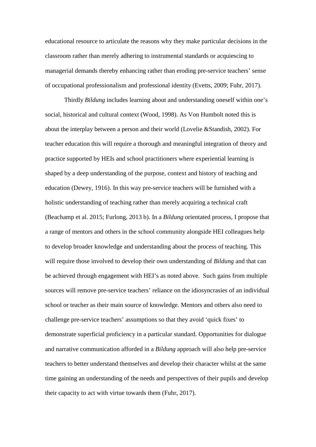educational resource to articulate the reasons why they make particular decisions in the classroom rather than merely adhering to instrumental standards or acquiescing to managerial demands thereby enhancing rather than eroding pre-service teachers' sense of occupational professionalism and professional identity (Evetts, 2009; Fuhr, 2017).

Thirdly *Bildung* includes learning about and understanding oneself within one's social, historical and cultural context (Wood, 1998). As Von Humbolt noted this is about the interplay between a person and their world (Lovelie &Standish, 2002). For teacher education this will require a thorough and meaningful integration of theory and practice supported by HEIs and school practitioners where experiential learning is shaped by a deep understanding of the purpose, context and history of teaching and education (Dewey, 1916). In this way pre-service teachers will be furnished with a holistic understanding of teaching rather than merely acquiring a technical craft (Beachamp et al. 2015; Furlong, 2013 b). In a *Bildung* orientated process, I propose that a range of mentors and others in the school community alongside HEI colleagues help to develop broader knowledge and understanding about the process of teaching. This will require those involved to develop their own understanding of *Bildung* and that can be achieved through engagement with HEI's as noted above. Such gains from multiple sources will remove pre-service teachers' reliance on the idiosyncrasies of an individual school or teacher as their main source of knowledge. Mentors and others also need to challenge pre-service teachers' assumptions so that they avoid 'quick fixes' to demonstrate superficial proficiency in a particular standard. Opportunities for dialogue and narrative communication afforded in a *Bildung* approach will also help pre-service teachers to better understand themselves and develop their character whilst at the same time gaining an understanding of the needs and perspectives of their pupils and develop their capacity to act with virtue towards them (Fuhr, 2017).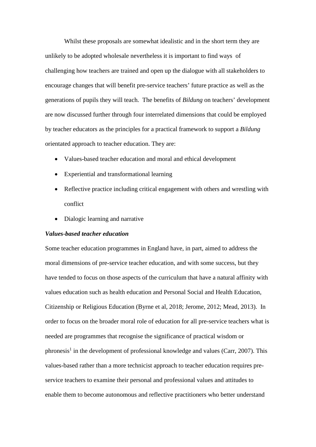Whilst these proposals are somewhat idealistic and in the short term they are unlikely to be adopted wholesale nevertheless it is important to find ways of challenging how teachers are trained and open up the dialogue with all stakeholders to encourage changes that will benefit pre-service teachers' future practice as well as the generations of pupils they will teach. The benefits of *Bildung* on teachers' development are now discussed further through four interrelated dimensions that could be employed by teacher educators as the principles for a practical framework to support a *Bildung* orientated approach to teacher education. They are:

- Values-based teacher education and moral and ethical development
- Experiential and transformational learning
- Reflective practice including critical engagement with others and wrestling with conflict
- Dialogic learning and narrative

# *Values-based teacher education*

Some teacher education programmes in England have, in part, aimed to address the moral dimensions of pre-service teacher education, and with some success, but they have tended to focus on those aspects of the curriculum that have a natural affinity with values education such as health education and Personal Social and Health Education, Citizenship or Religious Education (Byrne et al, 2018; Jerome, 2012; Mead, 2013). In order to focus on the broader moral role of education for all pre-service teachers what is needed are programmes that recognise the significance of practical wisdom or phronesis<sup>1</sup> in the development of professional knowledge and values (Carr, 2007). This values-based rather than a more technicist approach to teacher education requires preservice teachers to examine their personal and professional values and attitudes to enable them to become autonomous and reflective practitioners who better understand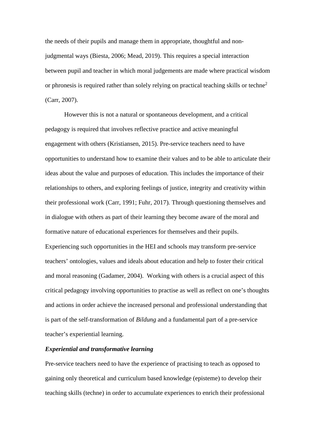the needs of their pupils and manage them in appropriate, thoughtful and nonjudgmental ways (Biesta, 2006; Mead, 2019). This requires a special interaction between pupil and teacher in which moral judgements are made where practical wisdom or phronesis is required rather than solely relying on practical teaching skills or techne<sup>2</sup> (Carr, 2007).

However this is not a natural or spontaneous development, and a critical pedagogy is required that involves reflective practice and active meaningful engagement with others (Kristiansen, 2015). Pre-service teachers need to have opportunities to understand how to examine their values and to be able to articulate their ideas about the value and purposes of education. This includes the importance of their relationships to others, and exploring feelings of justice, integrity and creativity within their professional work (Carr, 1991; Fuhr, 2017)*.* Through questioning themselves and in dialogue with others as part of their learning they become aware of the moral and formative nature of educational experiences for themselves and their pupils. Experiencing such opportunities in the HEI and schools may transform pre-service teachers' ontologies, values and ideals about education and help to foster their critical and moral reasoning (Gadamer, 2004). Working with others is a crucial aspect of this critical pedagogy involving opportunities to practise as well as reflect on one's thoughts and actions in order achieve the increased personal and professional understanding that is part of the self-transformation of *Bildung* and a fundamental part of a pre-service teacher's experiential learning.

## *Experiential and transformative learning*

Pre-service teachers need to have the experience of practising to teach as opposed to gaining only theoretical and curriculum based knowledge (episteme) to develop their teaching skills (techne) in order to accumulate experiences to enrich their professional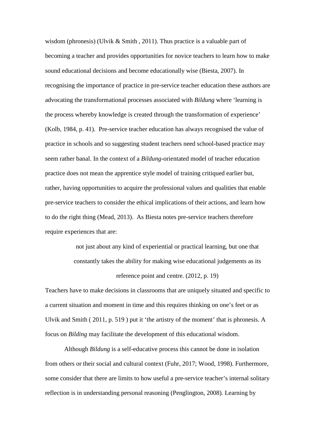wisdom (phronesis) (Ulvik & Smith, 2011). Thus practice is a valuable part of becoming a teacher and provides opportunities for novice teachers to learn how to make sound educational decisions and become educationally wise (Biesta, 2007). In recognising the importance of practice in pre-service teacher education these authors are advocating the transformational processes associated with *Bildung* where 'learning is the process whereby knowledge is created through the transformation of experience' (Kolb, 1984, p. 41). Pre-service teacher education has always recognised the value of practice in schools and so suggesting student teachers need school-based practice may seem rather banal. In the context of a *Bildung*-orientated model of teacher education practice does not mean the apprentice style model of training critiqued earlier but, rather, having opportunities to acquire the professional values and qualities that enable pre-service teachers to consider the ethical implications of their actions, and learn how to do the right thing (Mead, 2013). As Biesta notes pre-service teachers therefore require experiences that are:

> not just about any kind of experiential or practical learning, but one that constantly takes the ability for making wise educational judgements as its reference point and centre. (2012, p. 19)

Teachers have to make decisions in classrooms that are uniquely situated and specific to a current situation and moment in time and this requires thinking on one's feet or as Ulvik and Smith ( 2011, p. 519 ) put it 'the artistry of the moment' that is phronesis. A focus on *Bilding* may facilitate the development of this educational wisdom.

Although *Bildung* is a self-educative process this cannot be done in isolation from others or their social and cultural context (Fuhr, 2017; Wood, 1998). Furthermore, some consider that there are limits to how useful a pre-service teacher's internal solitary reflection is in understanding personal reasoning (Penglington, 2008). Learning by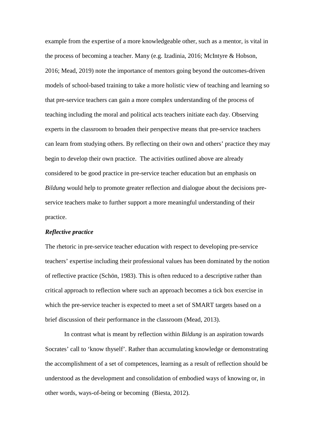example from the expertise of a more knowledgeable other, such as a mentor, is vital in the process of becoming a teacher. Many (e.g. [Izadinia,](javascript:__doLinkPostBack() 2016; McIntyre & Hobson, 2016; Mead, 2019) note the importance of mentors going beyond the outcomes-driven models of school-based training to take a more holistic view of teaching and learning so that pre-service teachers can gain a more complex understanding of the process of teaching including the moral and political acts teachers initiate each day. Observing experts in the classroom to broaden their perspective means that pre-service teachers can learn from studying others. By reflecting on their own and others' practice they may begin to develop their own practice. The activities outlined above are already considered to be good practice in pre-service teacher education but an emphasis on *Bildung* would help to promote greater reflection and dialogue about the decisions preservice teachers make to further support a more meaningful understanding of their practice.

## *Reflective practice*

The rhetoric in pre-service teacher education with respect to developing pre-service teachers' expertise including their professional values has been dominated by the notion of reflective practice (Schön, 1983). This is often reduced to a descriptive rather than critical approach to reflection where such an approach becomes a tick box exercise in which the pre-service teacher is expected to meet a set of SMART targets based on a brief discussion of their performance in the classroom (Mead, 2013).

In contrast what is meant by reflection within *Bildung* is an aspiration towards Socrates' call to 'know thyself'. Rather than accumulating knowledge or demonstrating the accomplishment of a set of competences, learning as a result of reflection should be understood as the development and consolidation of embodied ways of knowing or, in other words, ways-of-being or becoming (Biesta, 2012).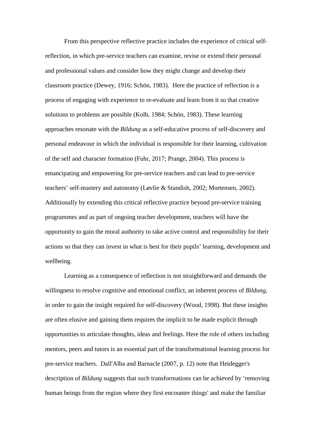From this perspective reflective practice includes the experience of critical selfreflection, in which pre-service teachers can examine, revise or extend their personal and professional values and consider how they might change and develop their classroom practice (Dewey, 1916; Schön, 1983). Here the practice of reflection is a process of engaging with experience to re-evaluate and learn from it so that creative solutions to problems are possible (Kolb, 1984; Schön, 1983). These learning approaches resonate with the *Bildung* as a self-educative process of self-discovery and personal endeavour in which the individual is responsible for their learning, cultivation of the self and character formation (Fuhr, 2017; Prange, 2004). This process is emancipating and empowering for pre-service teachers and can lead to pre-service teachers' self-mastery and autonomy (Løvlie & Standish, 2002; Mortensen, 2002). Additionally by extending this critical reflective practice beyond pre-service training programmes and as part of ongoing teacher development, teachers will have the opportunity to gain the moral authority to take active control and responsibility for their actions so that they can invest in what is best for their pupils' learning, development and wellbeing.

Learning as a consequence of reflection is not straightforward and demands the willingness to resolve cognitive and emotional conflict, an inherent process of *Bildung,* in order to gain the insight required for self-discovery (Wood, 1998). But these insights are often elusive and gaining them requires the implicit to be made explicit through opportunities to articulate thoughts, ideas and feelings. Here the role of others including mentors, peers and tutors is an essential part of the transformational learning process for pre-service teachers. Dall'Alba and Barnacle (2007, p. 12) note that Heidegger's description of *Bildung* suggests that such transformations can be achieved by 'removing human beings from the region where they first encounter things' and make the familiar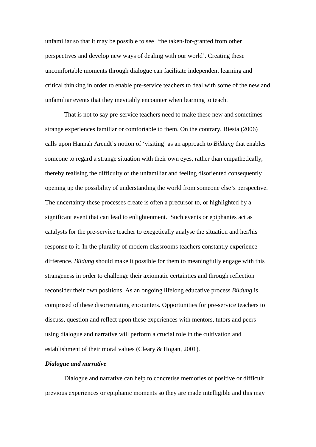unfamiliar so that it may be possible to see 'the taken-for-granted from other perspectives and develop new ways of dealing with our world'. Creating these uncomfortable moments through dialogue can facilitate independent learning and critical thinking in order to enable pre-service teachers to deal with some of the new and unfamiliar events that they inevitably encounter when learning to teach.

That is not to say pre-service teachers need to make these new and sometimes strange experiences familiar or comfortable to them. On the contrary, Biesta (2006) calls upon Hannah Arendt's notion of 'visiting' as an approach to *Bildung* that enables someone to regard a strange situation with their own eyes, rather than empathetically, thereby realising the difficulty of the unfamiliar and feeling disoriented consequently opening up the possibility of understanding the world from someone else's perspective. The uncertainty these processes create is often a precursor to, or highlighted by a significant event that can lead to enlightenment. Such events or epiphanies act as catalysts for the pre-service teacher to exegetically analyse the situation and her/his response to it. In the plurality of modern classrooms teachers constantly experience difference. *Bildung* should make it possible for them to meaningfully engage with this strangeness in order to challenge their axiomatic certainties and through reflection reconsider their own positions. As an ongoing lifelong educative process *Bildung* is comprised of these disorientating encounters. Opportunities for pre-service teachers to discuss, question and reflect upon these experiences with mentors, tutors and peers using dialogue and narrative will perform a crucial role in the cultivation and establishment of their moral values (Cleary & Hogan, 2001).

#### *Dialogue and narrative*

Dialogue and narrative can help to concretise memories of positive or difficult previous experiences or epiphanic moments so they are made intelligible and this may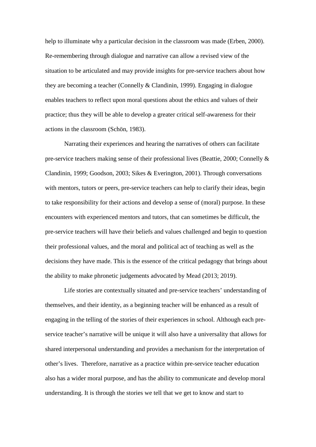help to illuminate why a particular decision in the classroom was made (Erben, 2000). Re-remembering through dialogue and narrative can allow a revised view of the situation to be articulated and may provide insights for pre-service teachers about how they are becoming a teacher (Connelly & Clandinin, 1999). Engaging in dialogue enables teachers to reflect upon moral questions about the ethics and values of their practice; thus they will be able to develop a greater critical self-awareness for their actions in the classroom (Schön, 1983).

Narrating their experiences and hearing the narratives of others can facilitate pre-service teachers making sense of their professional lives (Beattie, 2000; Connelly & Clandinin, 1999; Goodson, 2003; Sikes & Everington, 2001). Through conversations with mentors, tutors or peers, pre-service teachers can help to clarify their ideas, begin to take responsibility for their actions and develop a sense of (moral) purpose. In these encounters with experienced mentors and tutors, that can sometimes be difficult, the pre-service teachers will have their beliefs and values challenged and begin to question their professional values, and the moral and political act of teaching as well as the decisions they have made. This is the essence of the critical pedagogy that brings about the ability to make phronetic judgements advocated by Mead (2013; 2019).

Life stories are contextually situated and pre-service teachers' understanding of themselves, and their identity, as a beginning teacher will be enhanced as a result of engaging in the telling of the stories of their experiences in school. Although each preservice teacher's narrative will be unique it will also have a universality that allows for shared interpersonal understanding and provides a mechanism for the interpretation of other's lives. Therefore, narrative as a practice within pre-service teacher education also has a wider moral purpose, and has the ability to communicate and develop moral understanding. It is through the stories we tell that we get to know and start to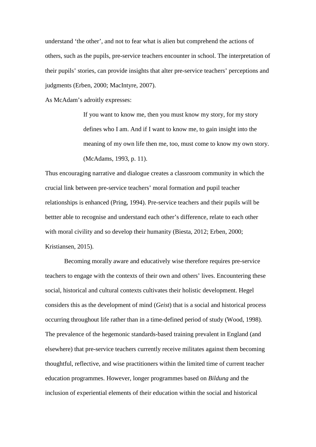understand 'the other', and not to fear what is alien but comprehend the actions of others, such as the pupils, pre-service teachers encounter in school. The interpretation of their pupils' stories, can provide insights that alter pre-service teachers' perceptions and judgments (Erben, 2000; MacIntyre, 2007).

As McAdam's adroitly expresses:

If you want to know me, then you must know my story, for my story defines who I am. And if I want to know me, to gain insight into the meaning of my own life then me, too, must come to know my own story. (McAdams, 1993, p. 11).

Thus encouraging narrative and dialogue creates a classroom community in which the crucial link between pre-service teachers' moral formation and pupil teacher relationships is enhanced (Pring, 1994). Pre-service teachers and their pupils will be bettter able to recognise and understand each other's difference, relate to each other with moral civility and so develop their humanity (Biesta, 2012; Erben, 2000; Kristiansen, 2015).

Becoming morally aware and educatively wise therefore requires pre-service teachers to engage with the contexts of their own and others' lives. Encountering these social, historical and cultural contexts cultivates their holistic development. Hegel considers this as the development of mind (*Geist*) that is a social and historical process occurring throughout life rather than in a time-defined period of study (Wood, 1998). The prevalence of the hegemonic standards-based training prevalent in England (and elsewhere) that pre-service teachers currently receive militates against them becoming thoughtful, reflective, and wise practitioners within the limited time of current teacher education programmes. However, longer programmes based on *Bildung* and the inclusion of experiential elements of their education within the social and historical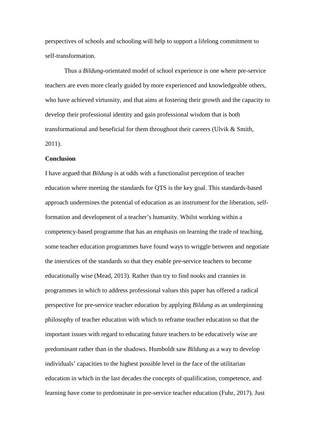perspectives of schools and schooling will help to support a lifelong commitment to self-transformation.

Thus a *Bildung*-orientated model of school experience is one where pre-service teachers are even more clearly guided by more experienced and knowledgeable others, who have achieved virtuosity, and that aims at fostering their growth and the capacity to develop their professional identity and gain professional wisdom that is both transformational and beneficial for them throughout their careers (Ulvik & Smith, 2011).

#### **Conclusion**

I have argued that *Bildung* is at odds with a functionalist perception of teacher education where meeting the standards for QTS is the key goal. This standards-based approach undermines the potential of education as an instrument for the liberation, selfformation and development of a teacher's humanity. Whilst working within a competency-based programme that has an emphasis on learning the trade of teaching, some teacher education programmes have found ways to wriggle between and negotiate the interstices of the standards so that they enable pre-service teachers to become educationally wise (Mead, 2013). Rather than try to find nooks and crannies in programmes in which to address professional values this paper has offered a radical perspective for pre-service teacher education by applying *Bildung* as an underpinning philosophy of teacher education with which to reframe teacher education so that the important issues with regard to educating future teachers to be educatively wise are predominant rather than in the shadows. Humboldt saw *Bildung* as a way to develop individuals' capacities to the highest possible level in the face of the utilitarian education in which in the last decades the concepts of qualification, competence, and learning have come to predominate in pre-service teacher education (Fuhr, 2017). Just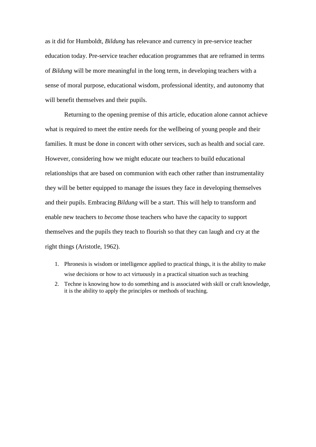as it did for Humboldt*, Bildung* has relevance and currency in pre-service teacher education today. Pre-service teacher education programmes that are reframed in terms of *Bildung* will be more meaningful in the long term, in developing teachers with a sense of moral purpose, educational wisdom, professional identity, and autonomy that will benefit themselves and their pupils.

Returning to the opening premise of this article, education alone cannot achieve what is required to meet the entire needs for the wellbeing of young people and their families. It must be done in concert with other services, such as health and social care. However, considering how we might educate our teachers to build educational relationships that are based on communion with each other rather than instrumentality they will be better equipped to manage the issues they face in developing themselves and their pupils. Embracing *Bildung* will be a start. This will help to transform and enable new teachers to *become* those teachers who have the capacity to support themselves and the pupils they teach to flourish so that they can laugh and cry at the right things (Aristotle, 1962).

- 1. Phronesis is wisdom or intelligence applied to practical things, it is the ability to make wise decisions or how to act virtuously in a practical situation such as teaching
- 2. Techne is knowing how to do something and is associated with skill or craft knowledge, it is the ability to apply the principles or methods of teaching.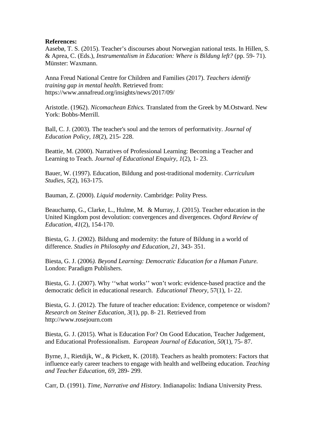# **References:**

Aasebø, T. S. (2015). Teacher's discourses about Norwegian national tests. In Hillen, S. & Aprea, C. (Eds.), *Instrumentalism in Education: Where is Bildung left?* (pp. 59- 71). Münster: Waxmann.

Anna Freud National Centre for Children and Families (2017). *Teachers identify training gap in mental health*. Retrieved from: <https://www.annafreud.org/insights/news/2017/09/>

Aristotle. (1962). *Nicomachean Ethics.* Translated from the Greek by M.Ostward. New York: Bobbs-Merrill.

Ball, C. J. (2003). The teacher's soul and the terrors of performativity. *Journal of Education Policy*, *18*(2), 215- 228.

Beattie, M. (2000). Narratives of Professional Learning: Becoming a Teacher and Learning to Teach. *Journal of Educational Enquiry, 1*(2), 1- 23.

Bauer, W. (1997). Education, Bildung and post-traditional modernity. *Curriculum Studies, 5*(2), 163-175.

Bauman, Z. (2000). *Liquid modernity*. Cambridge: Polity Press.

Beauchamp, G., Clarke, L., Hulme, M. & Murray, J. (2015). Teacher education in the United Kingdom post devolution: convergences and divergences. *Oxford Review of Education, 41*(2), 154-170.

Biesta, G. J. (2002). Bildung and modernity: the future of Bildung in a world of difference. *Studies in Philosophy and Education, 21,* 343- 351.

Biesta, G. J. (2006*). Beyond Learning: Democratic Education for a Human Future.* London: Paradigm Publishers.

Biesta, G. J. (2007). Why ''what works'' won't work: evidence-based practice and the democratic deficit in educational research. *Educational Theory,* 57(1), 1- 22.

Biesta, G. J. (2012). The future of teacher education: Evidence, competence or wisdom? *Research on Steiner Education, 3*(1), pp. 8- 21. Retrieved from http:/[/www.rosejourn.com](http://www.rosejourn.com/) 

Biesta, G. J. (2015). What is Education For? On Good Education, Teacher Judgement, and Educational Professionalism. *European Journal of Education*, *50*(1), 75- 87.

Byrne, J., Rietdijk, W., & Pickett, K. (2018). Teachers as health promoters: Factors that influence early career teachers to engage with health and wellbeing education. *Teaching and Teacher Education*, *69*, 289- 299.

Carr, D. (1991). *Time, Narrative and History.* Indianapolis: Indiana University Press.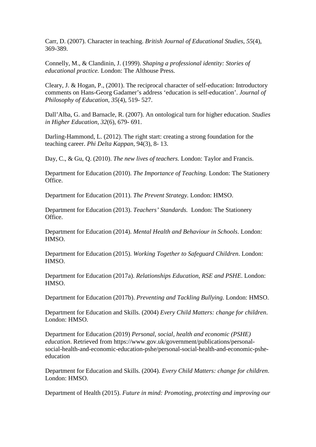Carr, D. (2007). Character in teaching. *British Journal of Educational Studies, 55*(4), 369-389.

Connelly, M., & Clandinin, J. (1999). *Shaping a professional identity: Stories of educational practice.* London: The Althouse Press.

Cleary, J. & Hogan, P., (2001). The reciprocal character of self-education: Introductory comments on Hans-Georg Gadamer's address 'education is self-education'. *Journal of Philosophy of Education, 35*(4), 519- 527.

Dall'Alba, G. and Barnacle, R. (2007). An ontological turn for higher education. *Studies in Higher Education, 32*(6), 679- 691.

Darling-Hammond, L. (2012). The right start: creating a strong foundation for the teaching career. *Phi Delta Kappan,* 94(3), 8- 13.

Day, C., & Gu, Q. (2010). *The new lives of teachers.* London: Taylor and Francis.

Department for Education (2010). *The Importance of Teaching.* London: The Stationery Office.

Department for Education (2011). *The Prevent Strategy.* London: HMSO.

Department for Education (2013). *Teachers' Standards.* London: The Stationery Office.

Department for Education (2014). *Mental Health and Behaviour in Schools*. London: HMSO.

Department for Education (2015). *Working Together to Safeguard Children*. London: HMSO.

Department for Education (2017a). *Relationships Education, RSE and PSHE*. London: HMSO.

Department for Education (2017b). *Preventing and Tackling Bullying.* London: HMSO.

Department for Education and Skills. (2004) *Every Child Matters: change for children*. London: HMSO.

Department for Education (2019) *Personal, social, health and economic (PSHE) education*. Retrieved from [https://www.gov.uk/government/publications/personal](https://www.gov.uk/government/publications/personal-social-health-and-economic-education-pshe/personal-social-health-and-economic-pshe-education)[social-health-and-economic-education-pshe/personal-social-health-and-economic-pshe](https://www.gov.uk/government/publications/personal-social-health-and-economic-education-pshe/personal-social-health-and-economic-pshe-education)[education](https://www.gov.uk/government/publications/personal-social-health-and-economic-education-pshe/personal-social-health-and-economic-pshe-education)

Department for Education and Skills. (2004). *Every Child Matters: change for children*. London: HMSO.

Department of Health (2015). *Future in mind: Promoting, protecting and improving our*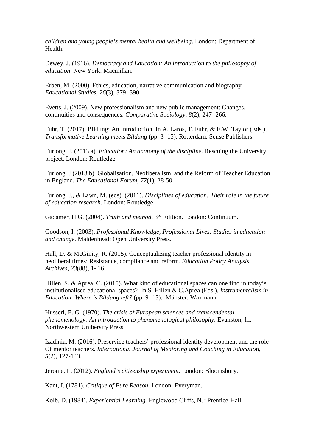*children and young people's mental health and wellbeing*. London: Department of Health.

Dewey, J. (1916). *Democracy and Education: An introduction to the philosophy of education*. New York: Macmillan.

Erben, M. (2000). Ethics, education, narrative communication and biography*. Educational Studies, 26*(3), 379- 390.

Evetts, J. (2009). New professionalism and new public management: Changes, continuities and consequences. *Comparative Sociology, 8*(2), 247- 266.

Fuhr, T. (2017). Bildung: An Introduction. In A. Laros, T. Fuhr, & E.W. Taylor (Eds.), *Transformative Learning meets Bildung* (pp. 3- 15). Rotterdam: Sense Publishers.

Furlong, J. (2013 a). *Education: An anatomy of the discipline*. Rescuing the University project. London: Routledge.

Furlong, J (2013 b). Globalisation, Neoliberalism, and the Reform of Teacher Education in England. *The Educational Forum, 77*(1), 28-50.

Furlong, J., & Lawn, M. (eds). (2011). *Disciplines of education: Their role in the future of education research.* London: Routledge.

Gadamer, H.G. (2004). *Truth and method*. 3rd Edition. London: Continuum.

Goodson, I. (2003). *Professional Knowledge, Professional Lives: Studies in education and change.* Maidenhead: Open University Press.

Hall, D. & McGinity, R. (2015). Conceptualizing teacher professional identity in neoliberal times: Resistance, compliance and reform. *Education Policy Analysis Archives, 23*(88), 1- 16.

Hillen, S. & Aprea, C. (2015). What kind of educational spaces can one find in today's institutionalised educational spaces? In S. Hillen & C.Aprea (Eds.), *Instrumentalism in Education: Where is Bildung left?* (pp. 9- 13). Münster: Waxmann.

Husserl, E. G. (1970). *The crisis of European sciences and transcendental phenomenology: An introduction to phenomenological philosophy*: Evanston, Ill: Northwestern Unibersity Press.

[Izadinia,](javascript:__doLinkPostBack() M. (2016). Preservice teachers' professional identity development and the role Of mentor teachers. *International Journal of Mentoring and Coaching in Educatio*n, *5*(2), 127-143.

Jerome, L. (2012). *England's citizenship experiment*. London: Bloomsbury.

Kant, I. (1781). *Critique of Pure Reason.* London: Everyman.

Kolb, D. (1984). *Experiential Learning.* Englewood Cliffs, NJ: Prentice-Hall.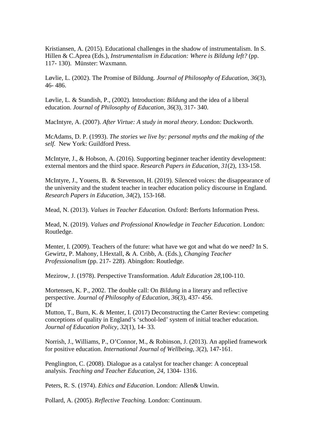Kristiansen, A. (2015). Educational challenges in the shadow of instrumentalism. In S. Hillen & C.Aprea (Eds.), *Instrumentalism in Education: Where is Bildung left?* (pp. 117- 130). Münster: Waxmann.

Løvlie, L. (2002). The Promise of Bildung. *Journal of Philosophy of Education, 36*(3), 46- 486.

Løvlie, L. & Standish, P., (2002). Introduction: *Bildung* and the idea of a liberal education. *Journal of Philosophy of Education, 36*(3), 317- 340.

MacIntyre, A. (2007). *After Virtue: A study in moral theory*. London: Duckworth.

McAdams, D. P. (1993). *The stories we live by: personal myths and the making of the self.* New York: Guildford Press.

McIntyre, J., & Hobson, A. (2016). Supporting beginner teacher identity development: external mentors and the third space. *Research Papers in Education, 31*(2), 133-158.

McIntyre, J., Youens, B. & Stevenson, H. (2019). Silenced voices: the disappearance of the university and the student teacher in teacher education policy discourse in England. *Research Papers in Education, 34*(2), 153-168.

Mead, N. (2013). *Values in Teacher Education.* Oxford: Berforts Information Press.

Mead, N. (2019). *Values and Professional Knowledge in Teacher Education*. London: Routledge.

Menter, I. (2009). Teachers of the future: what have we got and what do we need? In S. Gewirtz, P. Mahony, I.Hextall, & A. Cribb, A. (Eds.), *Changing Teacher Professionalism* (pp. 217- 228). Abingdon: Routledge.

Mezirow, J. (1978). Perspective Transformation. *Adult Education 28*,100-110.

Mortensen, K. P., 2002. The double call: On *Bildung* in a literary and reflective perspective. *Journal of Philosophy of Education, 36*(3), 437- 456. Df

Mutton, T., Burn, K. & Menter, I. (2017) Deconstructing the Carter Review: competing conceptions of quality in England's 'school-led' system of initial teacher education. *Journal of Education Policy, 32*(1), 14- 33.

Norrish, J., Williams, P., O'Connor, M., & Robinson, J. (2013). An applied framework for positive education. *International Journal of Wellbeing*, *3*(2), 147-161.

Penglington, C. (2008). Dialogue as a catalyst for teacher change: A conceptual analysis. *Teaching and Teacher Education, 24*, 1304- 1316.

Peters, R. S. (1974). *Ethics and Education*. London: Allen& Unwin.

Pollard, A. (2005). *Reflective Teaching.* London: Continuum.